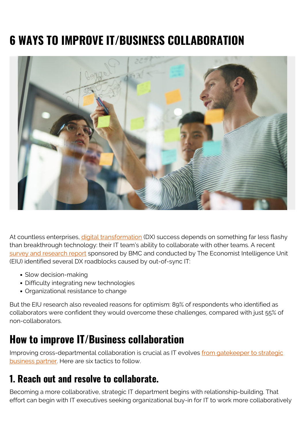# **6 WAYS TO IMPROVE IT/BUSINESS COLLABORATION**



At countless enterprises, *[digital transformation](https://blogs.bmc.com/blogs/what-is-digital-transformation/)* (DX) success depends on something far less flashy than breakthrough technology: their IT team's ability to collaborate with other teams. A recent [survey and research report](https://eiuperspectives.economist.com/sites/default/files/eiu_bmc_from_gatekeeper_to_enabler.pdf) sponsored by BMC and conducted by The Economist Intelligence Unit (EIU) identified several DX roadblocks caused by out-of-sync IT:

- Slow decision-making
- Difficulty integrating new technologies
- Organizational resistance to change

But the EIU research also revealed reasons for optimism: 89% of respondents who identified as collaborators were confident they would overcome these challenges, compared with just 55% of non-collaborators.

# **How to improve IT/Business collaboration**

Improving cross-departmental collaboration is crucial as IT evolves [from gatekeeper to strategic](https://blogs.bmc.com/blogs/state-of-itsm/) [business partner.](https://blogs.bmc.com/blogs/state-of-itsm/) Here are six tactics to follow.

#### **1. Reach out and resolve to collaborate.**

Becoming a more collaborative, strategic IT department begins with relationship-building. That effort can begin with IT executives seeking organizational buy-in for IT to work more collaboratively